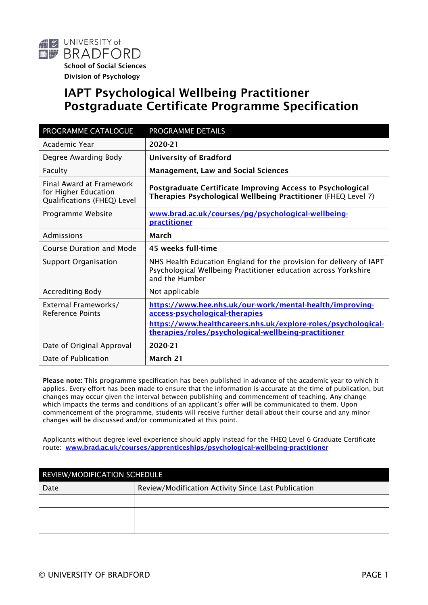

# IAPT Psychological Wellbeing Practitioner Postgraduate Certificate Programme Specification

| PROGRAMME CATALOGUE                                                             | PROGRAMME DETAILS                                                                                                                                                                                                   |  |
|---------------------------------------------------------------------------------|---------------------------------------------------------------------------------------------------------------------------------------------------------------------------------------------------------------------|--|
| Academic Year                                                                   | 2020-21                                                                                                                                                                                                             |  |
| Degree Awarding Body                                                            | <b>University of Bradford</b>                                                                                                                                                                                       |  |
| Faculty                                                                         | <b>Management, Law and Social Sciences</b>                                                                                                                                                                          |  |
| Final Award at Framework<br>for Higher Education<br>Qualifications (FHEQ) Level | Postgraduate Certificate Improving Access to Psychological<br>Therapies Psychological Wellbeing Practitioner (FHEQ Level 7)                                                                                         |  |
| Programme Website                                                               | www.brad.ac.uk/courses/pq/psychological-wellbeing-<br>practitioner                                                                                                                                                  |  |
| Admissions                                                                      | March                                                                                                                                                                                                               |  |
| <b>Course Duration and Mode</b>                                                 | 45 weeks full-time                                                                                                                                                                                                  |  |
| <b>Support Organisation</b>                                                     | NHS Health Education England for the provision for delivery of IAPT<br>Psychological Wellbeing Practitioner education across Yorkshire<br>and the Humber                                                            |  |
| <b>Accrediting Body</b>                                                         | Not applicable                                                                                                                                                                                                      |  |
| External Frameworks/<br><b>Reference Points</b>                                 | https://www.hee.nhs.uk/our-work/mental-health/improving-<br>access-psychological-therapies<br>https://www.healthcareers.nhs.uk/explore-roles/psychological-<br>therapies/roles/psychological-wellbeing-practitioner |  |
| Date of Original Approval                                                       | 2020-21                                                                                                                                                                                                             |  |
| Date of Publication                                                             | March 21                                                                                                                                                                                                            |  |

Please note: This programme specification has been published in advance of the academic year to which it applies. Every effort has been made to ensure that the information is accurate at the time of publication, but changes may occur given the interval between publishing and commencement of teaching. Any change which impacts the terms and conditions of an applicant's offer will be communicated to them. Upon commencement of the programme, students will receive further detail about their course and any minor changes will be discussed and/or communicated at this point.

Applicants without degree level experience should apply instead for the FHEQ Level 6 Graduate Certificate route: [www.brad.ac.uk/courses/apprenticeships/psychological-wellbeing-practitioner](http://www.brad.ac.uk/courses/apprenticeships/psychological-wellbeing-practitioner)

| REVIEW/MODIFICATION SCHEDULE |                                                     |  |  |
|------------------------------|-----------------------------------------------------|--|--|
| Date                         | Review/Modification Activity Since Last Publication |  |  |
|                              |                                                     |  |  |
|                              |                                                     |  |  |
|                              |                                                     |  |  |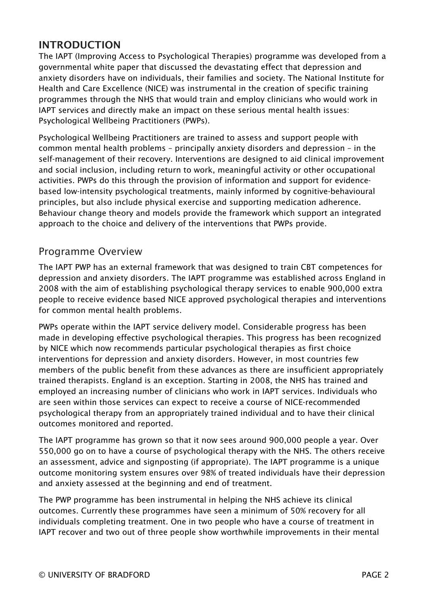### INTRODUCTION

The IAPT (Improving Access to Psychological Therapies) programme was developed from a governmental white paper that discussed the devastating effect that depression and anxiety disorders have on individuals, their families and society. The National Institute for Health and Care Excellence (NICE) was instrumental in the creation of specific training programmes through the NHS that would train and employ clinicians who would work in IAPT services and directly make an impact on these serious mental health issues: Psychological Wellbeing Practitioners (PWPs).

Psychological Wellbeing Practitioners are trained to assess and support people with common mental health problems – principally anxiety disorders and depression – in the self-management of their recovery. Interventions are designed to aid clinical improvement and social inclusion, including return to work, meaningful activity or other occupational activities. PWPs do this through the provision of information and support for evidencebased low-intensity psychological treatments, mainly informed by cognitive-behavioural principles, but also include physical exercise and supporting medication adherence. Behaviour change theory and models provide the framework which support an integrated approach to the choice and delivery of the interventions that PWPs provide.

### Programme Overview

The IAPT PWP has an external framework that was designed to train CBT competences for depression and anxiety disorders. The IAPT programme was established across England in 2008 with the aim of establishing psychological therapy services to enable 900,000 extra people to receive evidence based NICE approved psychological therapies and interventions for common mental health problems.

PWPs operate within the IAPT service delivery model. Considerable progress has been made in developing effective psychological therapies. This progress has been recognized by NICE which now recommends particular psychological therapies as first choice interventions for depression and anxiety disorders. However, in most countries few members of the public benefit from these advances as there are insufficient appropriately trained therapists. England is an exception. Starting in 2008, the NHS has trained and employed an increasing number of clinicians who work in IAPT services. Individuals who are seen within those services can expect to receive a course of NICE-recommended psychological therapy from an appropriately trained individual and to have their clinical outcomes monitored and reported.

The IAPT programme has grown so that it now sees around 900,000 people a year. Over 550,000 go on to have a course of psychological therapy with the NHS. The others receive an assessment, advice and signposting (if appropriate). The IAPT programme is a unique outcome monitoring system ensures over 98% of treated individuals have their depression and anxiety assessed at the beginning and end of treatment.

The PWP programme has been instrumental in helping the NHS achieve its clinical outcomes. Currently these programmes have seen a minimum of 50% recovery for all individuals completing treatment. One in two people who have a course of treatment in IAPT recover and two out of three people show worthwhile improvements in their mental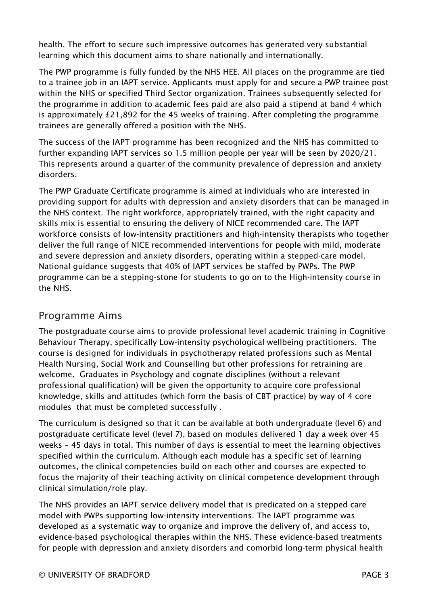health. The effort to secure such impressive outcomes has generated very substantial learning which this document aims to share nationally and internationally.

The PWP programme is fully funded by the NHS HEE. All places on the programme are tied to a trainee job in an IAPT service. Applicants must apply for and secure a PWP trainee post within the NHS or specified Third Sector organization. Trainees subsequently selected for the programme in addition to academic fees paid are also paid a stipend at band 4 which is approximately £21,892 for the 45 weeks of training. After completing the programme trainees are generally offered a position with the NHS.

The success of the IAPT programme has been recognized and the NHS has committed to further expanding IAPT services so 1.5 million people per year will be seen by 2020/21. This represents around a quarter of the community prevalence of depression and anxiety disorders.

The PWP Graduate Certificate programme is aimed at individuals who are interested in providing support for adults with depression and anxiety disorders that can be managed in the NHS context. The right workforce, appropriately trained, with the right capacity and skills mix is essential to ensuring the delivery of NICE recommended care. The IAPT workforce consists of low-intensity practitioners and high-intensity therapists who together deliver the full range of NICE recommended interventions for people with mild, moderate and severe depression and anxiety disorders, operating within a stepped-care model. National guidance suggests that 40% of IAPT services be staffed by PWPs. The PWP programme can be a stepping-stone for students to go on to the High-intensity course in the NHS.

### Programme Aims

The postgraduate course aims to provide professional level academic training in Cognitive Behaviour Therapy, specifically Low-intensity psychological wellbeing practitioners. The course is designed for individuals in psychotherapy related professions such as Mental Health Nursing, Social Work and Counselling but other professions for retraining are welcome. Graduates in Psychology and cognate disciplines (without a relevant professional qualification) will be given the opportunity to acquire core professional knowledge, skills and attitudes (which form the basis of CBT practice) by way of 4 core modules that must be completed successfully .

The curriculum is designed so that it can be available at both undergraduate (level 6) and postgraduate certificate level (level 7), based on modules delivered 1 day a week over 45 weeks – 45 days in total. This number of days is essential to meet the learning objectives specified within the curriculum. Although each module has a specific set of learning outcomes, the clinical competencies build on each other and courses are expected to focus the majority of their teaching activity on clinical competence development through clinical simulation/role play.

The NHS provides an IAPT service delivery model that is predicated on a stepped care model with PWPs supporting low-intensity interventions. The IAPT programme was developed as a systematic way to organize and improve the delivery of, and access to, evidence-based psychological therapies within the NHS. These evidence-based treatments for people with depression and anxiety disorders and comorbid long-term physical health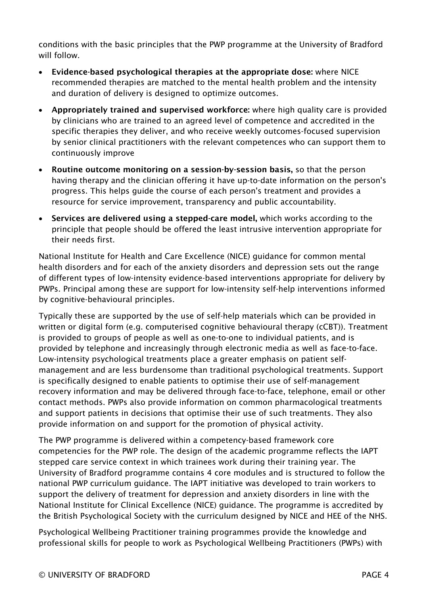conditions with the basic principles that the PWP programme at the University of Bradford will follow.

- Evidence-based psychological therapies at the appropriate dose: where NICE recommended therapies are matched to the mental health problem and the intensity and duration of delivery is designed to optimize outcomes.
- Appropriately trained and supervised workforce: where high quality care is provided by clinicians who are trained to an agreed level of competence and accredited in the specific therapies they deliver, and who receive weekly outcomes-focused supervision by senior clinical practitioners with the relevant competences who can support them to continuously improve
- Routine outcome monitoring on a session-by-session basis, so that the person having therapy and the clinician offering it have up-to-date information on the person's progress. This helps guide the course of each person's treatment and provides a resource for service improvement, transparency and public accountability.
- Services are delivered using a stepped-care model, which works according to the principle that people should be offered the least intrusive intervention appropriate for their needs first.

National Institute for Health and Care Excellence (NICE) guidance for common mental health disorders and for each of the anxiety disorders and depression sets out the range of different types of low-intensity evidence-based interventions appropriate for delivery by PWPs. Principal among these are support for low-intensity self-help interventions informed by cognitive-behavioural principles.

Typically these are supported by the use of self-help materials which can be provided in written or digital form (e.g. computerised cognitive behavioural therapy (cCBT)). Treatment is provided to groups of people as well as one-to-one to individual patients, and is provided by telephone and increasingly through electronic media as well as face-to-face. Low-intensity psychological treatments place a greater emphasis on patient selfmanagement and are less burdensome than traditional psychological treatments. Support is specifically designed to enable patients to optimise their use of self-management recovery information and may be delivered through face-to-face, telephone, email or other contact methods. PWPs also provide information on common pharmacological treatments and support patients in decisions that optimise their use of such treatments. They also provide information on and support for the promotion of physical activity.

The PWP programme is delivered within a competency-based framework core competencies for the PWP role. The design of the academic programme reflects the IAPT stepped care service context in which trainees work during their training year. The University of Bradford programme contains 4 core modules and is structured to follow the national PWP curriculum guidance. The IAPT initiative was developed to train workers to support the delivery of treatment for depression and anxiety disorders in line with the National Institute for Clinical Excellence (NICE) guidance. The programme is accredited by the British Psychological Society with the curriculum designed by NICE and HEE of the NHS.

Psychological Wellbeing Practitioner training programmes provide the knowledge and professional skills for people to work as Psychological Wellbeing Practitioners (PWPs) with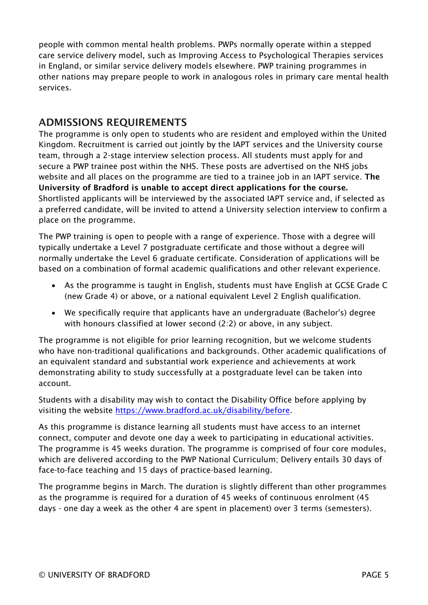people with common mental health problems. PWPs normally operate within a stepped care service delivery model, such as Improving Access to Psychological Therapies services in England, or similar service delivery models elsewhere. PWP training programmes in other nations may prepare people to work in analogous roles in primary care mental health services.

# ADMISSIONS REQUIREMENTS

The programme is only open to students who are resident and employed within the United Kingdom. Recruitment is carried out jointly by the IAPT services and the University course team, through a 2-stage interview selection process. All students must apply for and secure a PWP trainee post within the NHS. These posts are advertised on the NHS jobs website and all places on the programme are tied to a trainee job in an IAPT service. The University of Bradford is unable to accept direct applications for the course. Shortlisted applicants will be interviewed by the associated IAPT service and, if selected as a preferred candidate, will be invited to attend a University selection interview to confirm a place on the programme.

The PWP training is open to people with a range of experience. Those with a degree will typically undertake a Level 7 postgraduate certificate and those without a degree will normally undertake the Level 6 graduate certificate. Consideration of applications will be based on a combination of formal academic qualifications and other relevant experience.

- As the programme is taught in English, students must have English at GCSE Grade C (new Grade 4) or above, or a national equivalent Level 2 English qualification.
- We specifically require that applicants have an undergraduate (Bachelor's) degree with honours classified at lower second (2:2) or above, in any subject.

The programme is not eligible for prior learning recognition, but we welcome students who have non-traditional qualifications and backgrounds. Other academic qualifications of an equivalent standard and substantial work experience and achievements at work demonstrating ability to study successfully at a postgraduate level can be taken into account.

Students with a disability may wish to contact the Disability Office before applying by visiting the website [https://www.bradford.ac.uk/disability/before.](https://www.bradford.ac.uk/disability/before)

As this programme is distance learning all students must have access to an internet connect, computer and devote one day a week to participating in educational activities. The programme is 45 weeks duration. The programme is comprised of four core modules, which are delivered according to the PWP National Curriculum; Delivery entails 30 days of face-to-face teaching and 15 days of practice-based learning.

The programme begins in March. The duration is slightly different than other programmes as the programme is required for a duration of 45 weeks of continuous enrolment (45 days - one day a week as the other 4 are spent in placement) over 3 terms (semesters).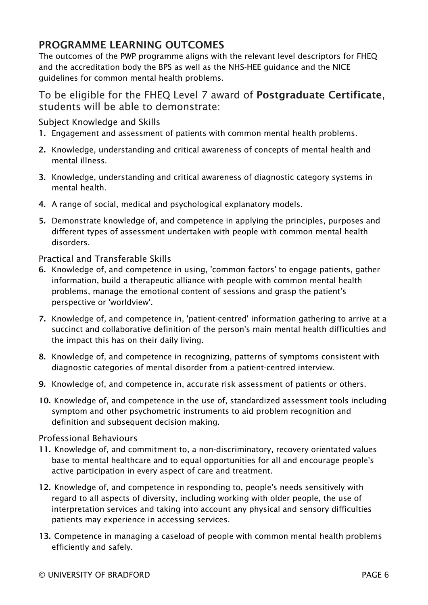# PROGRAMME LEARNING OUTCOMES

The outcomes of the PWP programme aligns with the relevant level descriptors for FHEQ and the accreditation body the BPS as well as the NHS-HEE guidance and the NICE guidelines for common mental health problems.

### To be eligible for the FHEQ Level 7 award of Postgraduate Certificate, students will be able to demonstrate:

Subject Knowledge and Skills

- 1. Engagement and assessment of patients with common mental health problems.
- 2. Knowledge, understanding and critical awareness of concepts of mental health and mental illness.
- 3. Knowledge, understanding and critical awareness of diagnostic category systems in mental health.
- 4. A range of social, medical and psychological explanatory models.
- 5. Demonstrate knowledge of, and competence in applying the principles, purposes and different types of assessment undertaken with people with common mental health disorders.

Practical and Transferable Skills

- 6. Knowledge of, and competence in using, 'common factors' to engage patients, gather information, build a therapeutic alliance with people with common mental health problems, manage the emotional content of sessions and grasp the patient's perspective or 'worldview'.
- 7. Knowledge of, and competence in, 'patient-centred' information gathering to arrive at a succinct and collaborative definition of the person's main mental health difficulties and the impact this has on their daily living.
- 8. Knowledge of, and competence in recognizing, patterns of symptoms consistent with diagnostic categories of mental disorder from a patient-centred interview.
- 9. Knowledge of, and competence in, accurate risk assessment of patients or others.
- 10. Knowledge of, and competence in the use of, standardized assessment tools including symptom and other psychometric instruments to aid problem recognition and definition and subsequent decision making.

#### Professional Behaviours

- 11. Knowledge of, and commitment to, a non-discriminatory, recovery orientated values base to mental healthcare and to equal opportunities for all and encourage people's active participation in every aspect of care and treatment.
- 12. Knowledge of, and competence in responding to, people's needs sensitively with regard to all aspects of diversity, including working with older people, the use of interpretation services and taking into account any physical and sensory difficulties patients may experience in accessing services.
- 13. Competence in managing a caseload of people with common mental health problems efficiently and safely.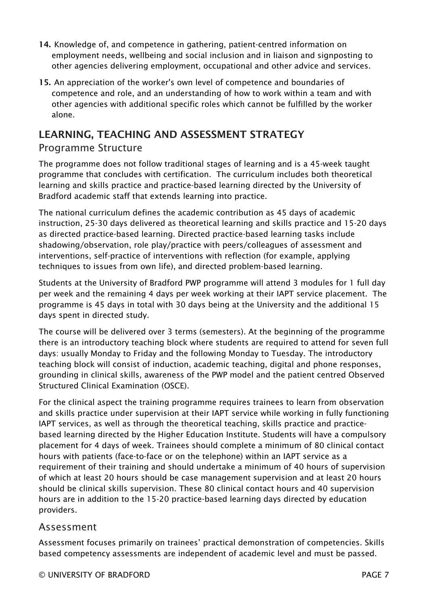- 14. Knowledge of, and competence in gathering, patient-centred information on employment needs, wellbeing and social inclusion and in liaison and signposting to other agencies delivering employment, occupational and other advice and services.
- 15. An appreciation of the worker's own level of competence and boundaries of competence and role, and an understanding of how to work within a team and with other agencies with additional specific roles which cannot be fulfilled by the worker alone.

# LEARNING, TEACHING AND ASSESSMENT STRATEGY

### Programme Structure

The programme does not follow traditional stages of learning and is a 45-week taught programme that concludes with certification. The curriculum includes both theoretical learning and skills practice and practice-based learning directed by the University of Bradford academic staff that extends learning into practice.

The national curriculum defines the academic contribution as 45 days of academic instruction, 25-30 days delivered as theoretical learning and skills practice and 15-20 days as directed practice-based learning. Directed practice-based learning tasks include shadowing/observation, role play/practice with peers/colleagues of assessment and interventions, self-practice of interventions with reflection (for example, applying techniques to issues from own life), and directed problem-based learning.

Students at the University of Bradford PWP programme will attend 3 modules for 1 full day per week and the remaining 4 days per week working at their IAPT service placement. The programme is 45 days in total with 30 days being at the University and the additional 15 days spent in directed study.

The course will be delivered over 3 terms (semesters). At the beginning of the programme there is an introductory teaching block where students are required to attend for seven full days: usually Monday to Friday and the following Monday to Tuesday. The introductory teaching block will consist of induction, academic teaching, digital and phone responses, grounding in clinical skills, awareness of the PWP model and the patient centred Observed Structured Clinical Examination (OSCE).

For the clinical aspect the training programme requires trainees to learn from observation and skills practice under supervision at their IAPT service while working in fully functioning IAPT services, as well as through the theoretical teaching, skills practice and practicebased learning directed by the Higher Education Institute. Students will have a compulsory placement for 4 days of week. Trainees should complete a minimum of 80 clinical contact hours with patients (face-to-face or on the telephone) within an IAPT service as a requirement of their training and should undertake a minimum of 40 hours of supervision of which at least 20 hours should be case management supervision and at least 20 hours should be clinical skills supervision. These 80 clinical contact hours and 40 supervision hours are in addition to the 15-20 practice-based learning days directed by education providers.

#### Assessment

Assessment focuses primarily on trainees' practical demonstration of competencies. Skills based competency assessments are independent of academic level and must be passed.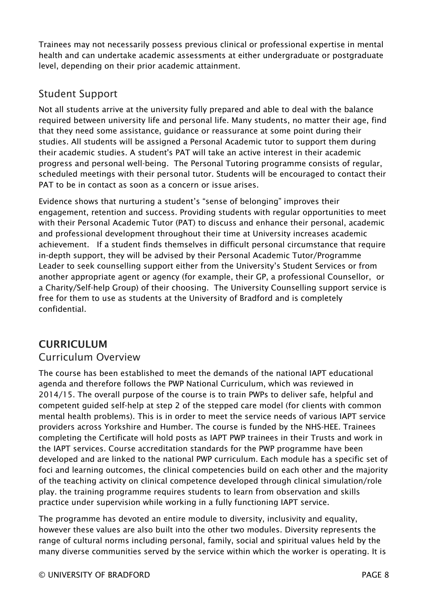Trainees may not necessarily possess previous clinical or professional expertise in mental health and can undertake academic assessments at either undergraduate or postgraduate level, depending on their prior academic attainment.

# Student Support

Not all students arrive at the university fully prepared and able to deal with the balance required between university life and personal life. Many students, no matter their age, find that they need some assistance, guidance or reassurance at some point during their studies. All students will be assigned a Personal Academic tutor to support them during their academic studies. A student's PAT will take an active interest in their academic progress and personal well-being. The Personal Tutoring programme consists of regular, scheduled meetings with their personal tutor. Students will be encouraged to contact their PAT to be in contact as soon as a concern or issue arises.

Evidence shows that nurturing a student's "sense of belonging" improves their engagement, retention and success. Providing students with regular opportunities to meet with their Personal Academic Tutor (PAT) to discuss and enhance their personal, academic and professional development throughout their time at University increases academic achievement. If a student finds themselves in difficult personal circumstance that require in-depth support, they will be advised by their Personal Academic Tutor/Programme Leader to seek counselling support either from the University's Student Services or from another appropriate agent or agency (for example, their GP, a professional Counsellor, or a Charity/Self-help Group) of their choosing. The University Counselling support service is free for them to use as students at the University of Bradford and is completely confidential.

## **CURRICULUM**

## Curriculum Overview

The course has been established to meet the demands of the national IAPT educational agenda and therefore follows the PWP National Curriculum, which was reviewed in 2014/15. The overall purpose of the course is to train PWPs to deliver safe, helpful and competent guided self-help at step 2 of the stepped care model (for clients with common mental health problems). This is in order to meet the service needs of various IAPT service providers across Yorkshire and Humber. The course is funded by the NHS-HEE. Trainees completing the Certificate will hold posts as IAPT PWP trainees in their Trusts and work in the IAPT services. Course accreditation standards for the PWP programme have been developed and are linked to the national PWP curriculum. Each module has a specific set of foci and learning outcomes, the clinical competencies build on each other and the majority of the teaching activity on clinical competence developed through clinical simulation/role play. the training programme requires students to learn from observation and skills practice under supervision while working in a fully functioning IAPT service.

The programme has devoted an entire module to diversity, inclusivity and equality, however these values are also built into the other two modules. Diversity represents the range of cultural norms including personal, family, social and spiritual values held by the many diverse communities served by the service within which the worker is operating. It is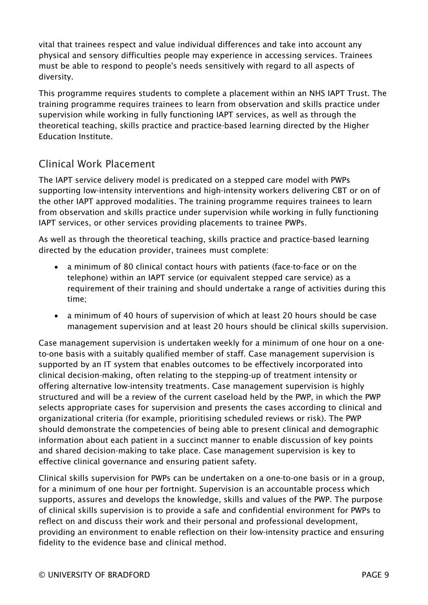vital that trainees respect and value individual differences and take into account any physical and sensory difficulties people may experience in accessing services. Trainees must be able to respond to people's needs sensitively with regard to all aspects of diversity.

This programme requires students to complete a placement within an NHS IAPT Trust. The training programme requires trainees to learn from observation and skills practice under supervision while working in fully functioning IAPT services, as well as through the theoretical teaching, skills practice and practice-based learning directed by the Higher Education Institute.

# Clinical Work Placement

The IAPT service delivery model is predicated on a stepped care model with PWPs supporting low-intensity interventions and high-intensity workers delivering CBT or on of the other IAPT approved modalities. The training programme requires trainees to learn from observation and skills practice under supervision while working in fully functioning IAPT services, or other services providing placements to trainee PWPs.

As well as through the theoretical teaching, skills practice and practice-based learning directed by the education provider, trainees must complete:

- a minimum of 80 clinical contact hours with patients (face-to-face or on the telephone) within an IAPT service (or equivalent stepped care service) as a requirement of their training and should undertake a range of activities during this time;
- a minimum of 40 hours of supervision of which at least 20 hours should be case management supervision and at least 20 hours should be clinical skills supervision.

Case management supervision is undertaken weekly for a minimum of one hour on a oneto-one basis with a suitably qualified member of staff. Case management supervision is supported by an IT system that enables outcomes to be effectively incorporated into clinical decision-making, often relating to the stepping-up of treatment intensity or offering alternative low-intensity treatments. Case management supervision is highly structured and will be a review of the current caseload held by the PWP, in which the PWP selects appropriate cases for supervision and presents the cases according to clinical and organizational criteria (for example, prioritising scheduled reviews or risk). The PWP should demonstrate the competencies of being able to present clinical and demographic information about each patient in a succinct manner to enable discussion of key points and shared decision-making to take place. Case management supervision is key to effective clinical governance and ensuring patient safety.

Clinical skills supervision for PWPs can be undertaken on a one-to-one basis or in a group, for a minimum of one hour per fortnight. Supervision is an accountable process which supports, assures and develops the knowledge, skills and values of the PWP. The purpose of clinical skills supervision is to provide a safe and confidential environment for PWPs to reflect on and discuss their work and their personal and professional development, providing an environment to enable reflection on their low-intensity practice and ensuring fidelity to the evidence base and clinical method.